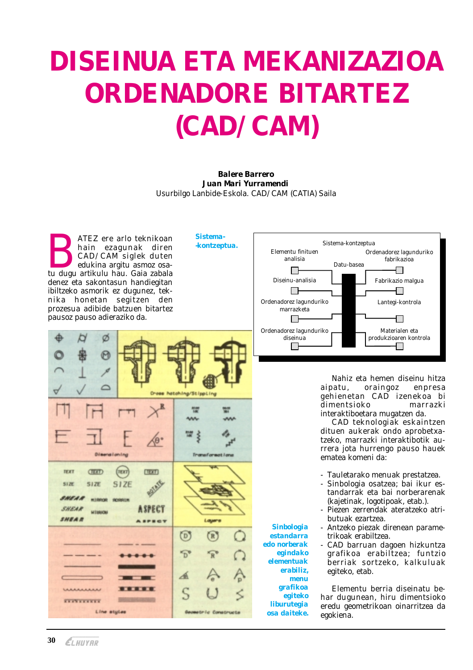## DISEINUA ETA MEKANIZAZIOA ORDENADORE BITARTEZ (CAD/CAM)

**Balere Barrero** Juan Mari Yurramendi Usurbilgo Lanbide-Eskola. CAD/CAM (CATIA) Saila

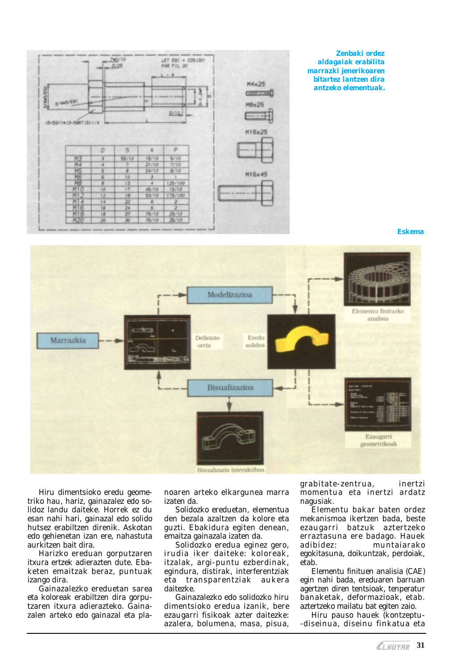

**Eskema** 



Hiru dimentsioko eredu geometriko hau, hariz, gainazalez edo solidoz landu daiteke. Horrek ez du esan nahi hari, gainazal edo solido hutsez erabiltzen direnik. Askotan edo gehienetan izan ere, nahastuta aurkitzen bait dira.

Harizko ereduan gorputzaren itxura ertzek adierazten dute. Ebaketen emaitzak beraz, puntuak izango dira.

Gainazalezko ereduetan sarea eta koloreak erabiltzen dira gorputzaren itxura adierazteko. Gainazalen arteko edo gainazal eta planoaren arteko elkargunea marra izaten da.

Solidozko ereduetan, elementua den bezala azaltzen da kolore eta guzti. Ebakidura egiten denean, emaitza gainazala izaten da.

Solidozko eredua eginez gero, irudia iker daiteke: koloreak. itzalak, argi-puntu ezberdinak. egindura, distirak, interferentziak eta transparentziak aukera daitezke

Gainazalezko edo solidozko hiru dimentsioko eredua izanik, bere ezaugarri fisikoak azter daitezke: azalera, bolumena, masa, pisua,

grabitate-zentrua, inertzi momentua eta inertzi ardatz nagusiak.

Elementu bakar baten ordez mekanismoa ikertzen bada, beste ezaugarri batzuk aztertzeko erraztasuna ere badago. Hauek adibidez: muntajarako egokitasuna, doikuntzak, perdoiak, etab.

Elementu finituen analisia (CAE) egin nahi bada, ereduaren barruan agertzen diren tentsioak, tenperatur banaketak, deformazioak, etab. aztertzeko mailatu bat egiten zaio.

Hiru pauso hauek (kontzeptu--diseinua. diseinu finkatua eta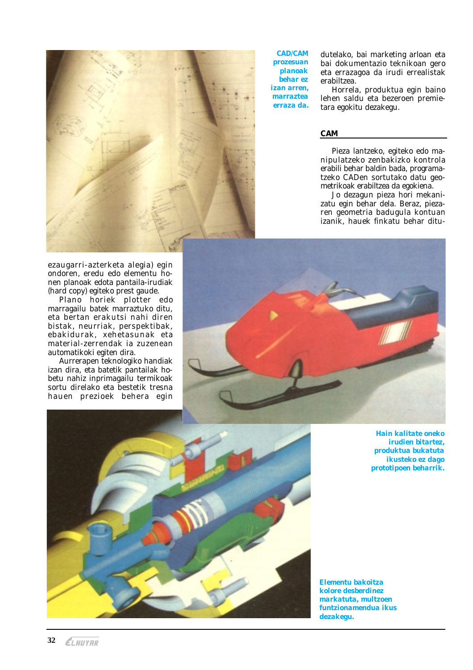

**CAD/CAM prozesuan planoak** hehar ez *izan arren.* marraztea erraza da.

dutelako, bai marketing arloan eta bai dokumentazio teknikoan gero eta errazagoa da irudi errealistak erabiltzea.

Horrela, produktua egin baino lehen saldu eta bezeroen premietara egokitu dezakegu.

## **CAM**

Pieza lantzeko, egiteko edo manipulatzeko zenbakizko kontrola erabili behar baldin bada, programatzeko CADen sortutako datu geometrikoak erabiltzea da egokiena.

Jo dezagun pieza hori mekanizatu egin behar dela. Beraz, piezaren geometria badugula kontuan izanik, hauek finkatu behar ditu-

ezaugarri-azterketa alegia) egin ondoren, eredu edo elementu honen planoak edota pantaila-irudiak (hard copy) egiteko prest gaude.

Plano horiek plotter edo marragailu batek marraztuko ditu, eta bertan erakutsi nahi diren bistak, neurriak, perspektibak, ebakidurak, xehetasunak eta material-zerrendak ia zuzenean automatikoki egiten dira.

Aurrerapen teknologiko handiak izan dira, eta batetik pantailak hobetu nahiz inprimagailu termikoak sortu direlako eta bestetik tresna hauen prezioek behera egin





**Hain kalitate oneko** irudien bitartez. produktua bukatuta ikusteko ez dago prototipoen beharrik.

Elementu bakoitza kolore desberdinez markatuta, multzoen funtzionamendua ikus dezakegu.